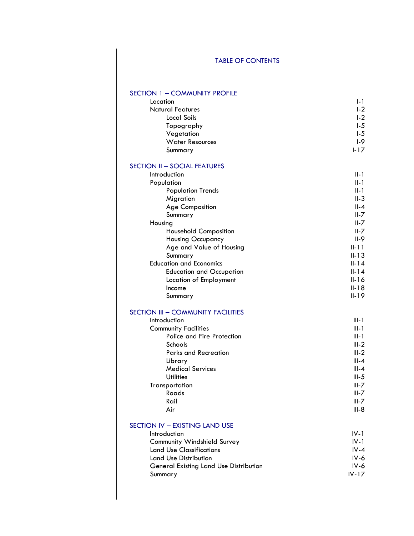# TABLE OF CONTENTS

## SECTION 1 – COMMUNITY PROFILE

| Location                | I-1            |
|-------------------------|----------------|
| <b>Natural Features</b> | L <sub>2</sub> |
| Local Soils             | L2             |
| Topography              | $1-5$          |
| Vegetation              | L <sub>5</sub> |
| <b>Water Resources</b>  | $1-9$          |
| Summary                 | $1 - 17$       |

#### SECTION II – SOCIAL FEATURES

| Introduction                    | $II-1$    |
|---------------------------------|-----------|
| Population                      | $II-1$    |
| <b>Population Trends</b>        | $II-1$    |
| Migration                       | $II-3$    |
| <b>Age Composition</b>          | $II - 4$  |
| Summary                         | $II - 7$  |
| Housing                         | $II - 7$  |
| <b>Household Composition</b>    | $II - 7$  |
| <b>Housing Occupancy</b>        | $II-9$    |
| Age and Value of Housing        | $II - 11$ |
| Summary                         | $II-13$   |
| <b>Education and Economics</b>  | $II-14$   |
| <b>Education and Occupation</b> | $II-14$   |
| Location of Employment          | $II-16$   |
| Income                          | $II-18$   |
| Summary                         | $II - 19$ |

#### SECTION III – COMMUNITY FACILITIES

| $III-1$   |
|-----------|
| $III-1$   |
| III-1     |
| $III-2$   |
| $III-2$   |
| $III - 4$ |
| $III - 4$ |
| $III-5$   |
| $III - 7$ |
| $III - 7$ |
| $III - 7$ |
| III-8     |
|           |

#### SECTION IV – EXISTING LAND USE

| Introduction                                  | $IV-1$   |
|-----------------------------------------------|----------|
| Community Windshield Survey                   | $IV-1$   |
| <b>Land Use Classifications</b>               | $IV - 4$ |
| Land Use Distribution                         | $IV-6$   |
| <b>General Existing Land Use Distribution</b> | IV-6     |
| Summary                                       | $IV-17$  |